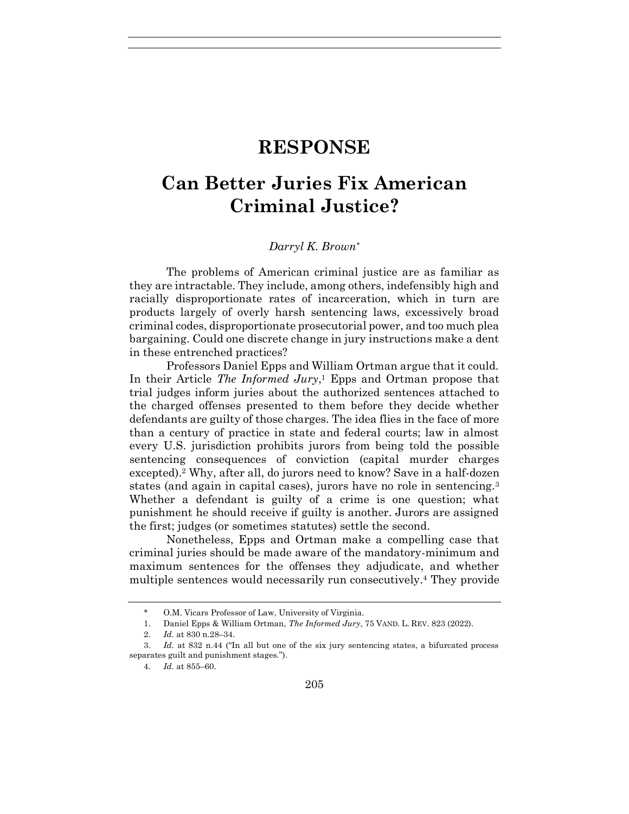## **RESPONSE**

## **Can Better Juries Fix American Criminal Justice?**

## *Darryl K. Brown\**

The problems of American criminal justice are as familiar as they are intractable. They include, among others, indefensibly high and racially disproportionate rates of incarceration, which in turn are products largely of overly harsh sentencing laws, excessively broad criminal codes, disproportionate prosecutorial power, and too much plea bargaining. Could one discrete change in jury instructions make a dent in these entrenched practices?

Professors Daniel Epps and William Ortman argue that it could. In their Article *The Informed Jury*, <sup>1</sup> Epps and Ortman propose that trial judges inform juries about the authorized sentences attached to the charged offenses presented to them before they decide whether defendants are guilty of those charges. The idea flies in the face of more than a century of practice in state and federal courts; law in almost every U.S. jurisdiction prohibits jurors from being told the possible sentencing consequences of conviction (capital murder charges excepted).<sup>2</sup> Why, after all, do jurors need to know? Save in a half-dozen states (and again in capital cases), jurors have no role in sentencing.<sup>3</sup> Whether a defendant is guilty of a crime is one question; what punishment he should receive if guilty is another. Jurors are assigned the first; judges (or sometimes statutes) settle the second.

Nonetheless, Epps and Ortman make a compelling case that criminal juries should be made aware of the mandatory-minimum and maximum sentences for the offenses they adjudicate, and whether multiple sentences would necessarily run consecutively.<sup>4</sup> They provide

<sup>\*</sup> O.M. Vicars Professor of Law, University of Virginia.

<sup>1.</sup> Daniel Epps & William Ortman, *The Informed Jury*, 75 VAND. L. REV. 823 (2022).

<sup>2.</sup> *Id.* at 830 n.28–34.

<sup>3.</sup> *Id.* at 832 n.44 ("In all but one of the six jury sentencing states, a bifurcated process separates guilt and punishment stages.").

<sup>4</sup>*. Id.* at 855–60.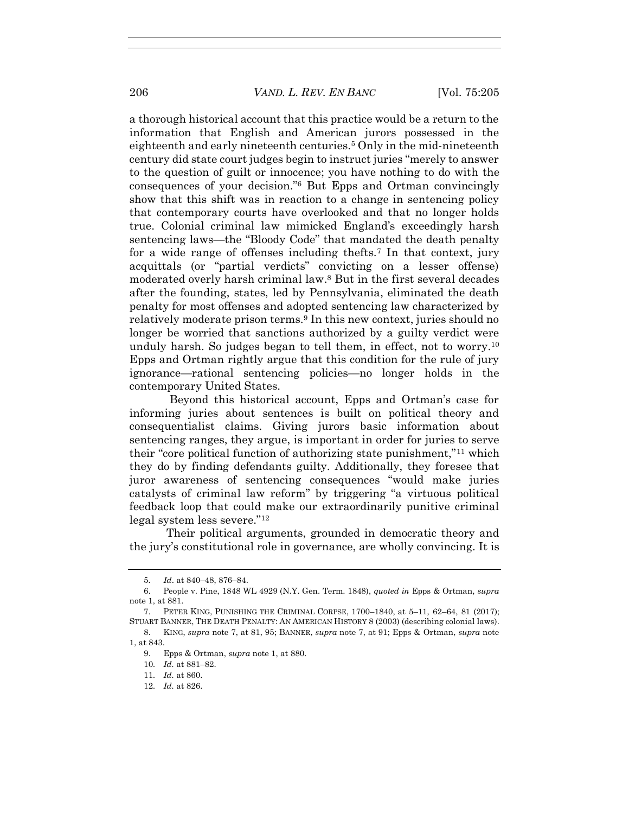a thorough historical account that this practice would be a return to the information that English and American jurors possessed in the eighteenth and early nineteenth centuries.<sup>5</sup> Only in the mid-nineteenth century did state court judges begin to instruct juries "merely to answer to the question of guilt or innocence; you have nothing to do with the consequences of your decision."<sup>6</sup> But Epps and Ortman convincingly show that this shift was in reaction to a change in sentencing policy that contemporary courts have overlooked and that no longer holds true. Colonial criminal law mimicked England's exceedingly harsh sentencing laws—the "Bloody Code" that mandated the death penalty for a wide range of offenses including thefts.<sup>7</sup> In that context, jury acquittals (or "partial verdicts" convicting on a lesser offense) moderated overly harsh criminal law. <sup>8</sup> But in the first several decades after the founding, states, led by Pennsylvania, eliminated the death penalty for most offenses and adopted sentencing law characterized by relatively moderate prison terms.<sup>9</sup> In this new context, juries should no longer be worried that sanctions authorized by a guilty verdict were unduly harsh. So judges began to tell them, in effect, not to worry.<sup>10</sup> Epps and Ortman rightly argue that this condition for the rule of jury ignorance—rational sentencing policies—no longer holds in the contemporary United States.

Beyond this historical account, Epps and Ortman's case for informing juries about sentences is built on political theory and consequentialist claims. Giving jurors basic information about sentencing ranges, they argue, is important in order for juries to serve their "core political function of authorizing state punishment,"<sup>11</sup> which they do by finding defendants guilty. Additionally, they foresee that juror awareness of sentencing consequences "would make juries catalysts of criminal law reform" by triggering "a virtuous political feedback loop that could make our extraordinarily punitive criminal legal system less severe."<sup>12</sup>

Their political arguments, grounded in democratic theory and the jury's constitutional role in governance, are wholly convincing. It is

<sup>5</sup>*. Id*. at 840–48, 876–84.

<sup>6.</sup> People v. Pine, 1848 WL 4929 (N.Y. Gen. Term. 1848), *quoted in* Epps & Ortman, *supra* note 1, at 881.

<sup>7.</sup> PETER KING, PUNISHING THE CRIMINAL CORPSE, 1700–1840, at 5–11, 62–64, 81 (2017); STUART BANNER, THE DEATH PENALTY: AN AMERICAN HISTORY 8 (2003) (describing colonial laws).

<sup>8.</sup> KING, *supra* note 7, at 81, 95; BANNER, *supra* note 7, at 91; Epps & Ortman, *supra* note 1, at 843.

<sup>9.</sup> Epps & Ortman, *supra* note 1, at 880.

<sup>10</sup>*. Id.* at 881–82.

<sup>11</sup>*. Id.* at 860.

<sup>12</sup>*. Id.* at 826.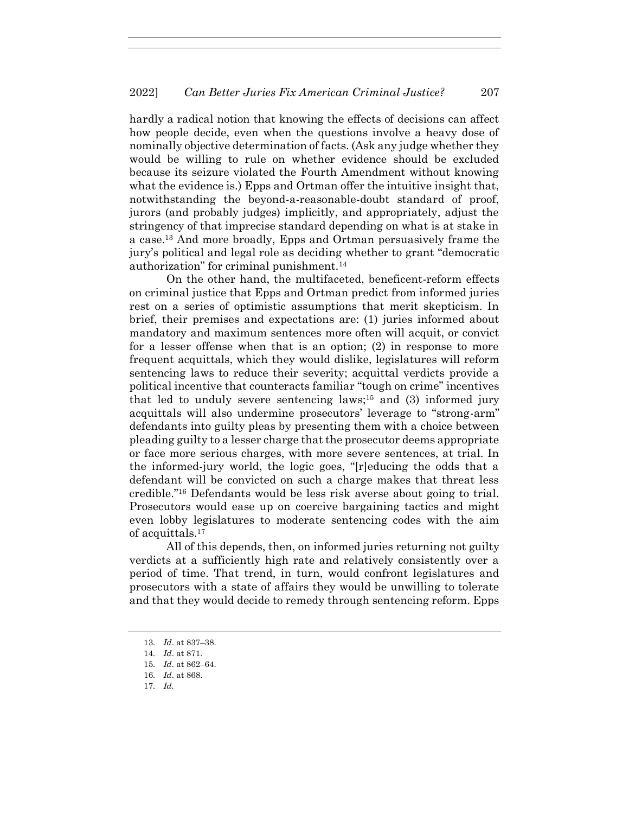hardly a radical notion that knowing the effects of decisions can affect how people decide, even when the questions involve a heavy dose of nominally objective determination of facts. (Ask any judge whether they would be willing to rule on whether evidence should be excluded because its seizure violated the Fourth Amendment without knowing what the evidence is.) Epps and Ortman offer the intuitive insight that, notwithstanding the beyond-a-reasonable-doubt standard of proof, jurors (and probably judges) implicitly, and appropriately, adjust the stringency of that imprecise standard depending on what is at stake in a case.<sup>13</sup> And more broadly, Epps and Ortman persuasively frame the jury's political and legal role as deciding whether to grant "democratic authorization" for criminal punishment.<sup>14</sup>

On the other hand, the multifaceted, beneficent-reform effects on criminal justice that Epps and Ortman predict from informed juries rest on a series of optimistic assumptions that merit skepticism. In brief, their premises and expectations are: (1) juries informed about mandatory and maximum sentences more often will acquit, or convict for a lesser offense when that is an option; (2) in response to more frequent acquittals, which they would dislike, legislatures will reform sentencing laws to reduce their severity; acquittal verdicts provide a political incentive that counteracts familiar "tough on crime" incentives that led to unduly severe sentencing laws;<sup>15</sup> and (3) informed jury acquittals will also undermine prosecutors' leverage to "strong-arm" defendants into guilty pleas by presenting them with a choice between pleading guilty to a lesser charge that the prosecutor deems appropriate or face more serious charges, with more severe sentences, at trial. In the informed-jury world, the logic goes, "[r]educing the odds that a defendant will be convicted on such a charge makes that threat less credible."<sup>16</sup> Defendants would be less risk averse about going to trial. Prosecutors would ease up on coercive bargaining tactics and might even lobby legislatures to moderate sentencing codes with the aim of acquittals.<sup>17</sup>

All of this depends, then, on informed juries returning not guilty verdicts at a sufficiently high rate and relatively consistently over a period of time. That trend, in turn, would confront legislatures and prosecutors with a state of affairs they would be unwilling to tolerate and that they would decide to remedy through sentencing reform. Epps

17*. Id.*

<sup>13</sup>*. Id*. at 837–38.

<sup>14</sup>*. Id*. at 871.

<sup>15</sup>*. Id*. at 862–64.

<sup>16</sup>*. Id*. at 868.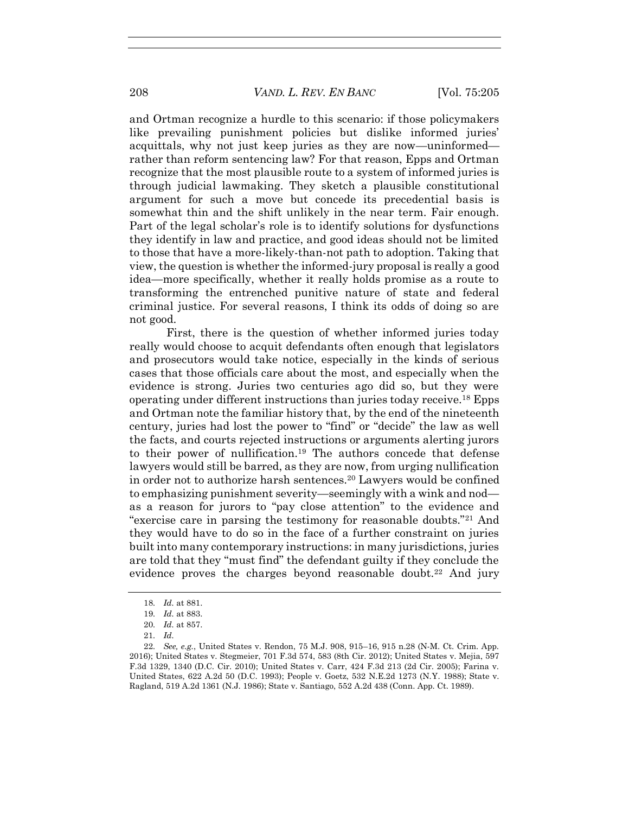and Ortman recognize a hurdle to this scenario: if those policymakers like prevailing punishment policies but dislike informed juries' acquittals, why not just keep juries as they are now—uninformed rather than reform sentencing law? For that reason, Epps and Ortman recognize that the most plausible route to a system of informed juries is through judicial lawmaking. They sketch a plausible constitutional argument for such a move but concede its precedential basis is somewhat thin and the shift unlikely in the near term. Fair enough. Part of the legal scholar's role is to identify solutions for dysfunctions they identify in law and practice, and good ideas should not be limited to those that have a more-likely-than-not path to adoption. Taking that view, the question is whether the informed-jury proposal is really a good idea—more specifically, whether it really holds promise as a route to transforming the entrenched punitive nature of state and federal criminal justice. For several reasons, I think its odds of doing so are not good.

First, there is the question of whether informed juries today really would choose to acquit defendants often enough that legislators and prosecutors would take notice, especially in the kinds of serious cases that those officials care about the most, and especially when the evidence is strong. Juries two centuries ago did so, but they were operating under different instructions than juries today receive.<sup>18</sup> Epps and Ortman note the familiar history that, by the end of the nineteenth century, juries had lost the power to "find" or "decide" the law as well the facts, and courts rejected instructions or arguments alerting jurors to their power of nullification.<sup>19</sup> The authors concede that defense lawyers would still be barred, as they are now, from urging nullification in order not to authorize harsh sentences.<sup>20</sup> Lawyers would be confined to emphasizing punishment severity—seemingly with a wink and nod as a reason for jurors to "pay close attention" to the evidence and "exercise care in parsing the testimony for reasonable doubts."<sup>21</sup> And they would have to do so in the face of a further constraint on juries built into many contemporary instructions: in many jurisdictions, juries are told that they "must find" the defendant guilty if they conclude the evidence proves the charges beyond reasonable doubt.<sup>22</sup> And jury

<sup>18</sup>*. Id.* at 881.

<sup>19</sup>*. Id.* at 883.

<sup>20</sup>*. Id.* at 857.

<sup>21</sup>*. Id.*

<sup>22</sup>*. See, e.g.*, United States v. Rendon, 75 M.J. 908, 915–16, 915 n.28 (N-M. Ct. Crim. App. 2016); United States v. Stegmeier, 701 F.3d 574, 583 (8th Cir. 2012); United States v. Mejia, 597 F.3d 1329, 1340 (D.C. Cir. 2010); United States v. Carr, 424 F.3d 213 (2d Cir. 2005); Farina v. United States, 622 A.2d 50 (D.C. 1993); People v. Goetz, 532 N.E.2d 1273 (N.Y. 1988); State v. Ragland, 519 A.2d 1361 (N.J. 1986); State v. Santiago, 552 A.2d 438 (Conn. App. Ct. 1989).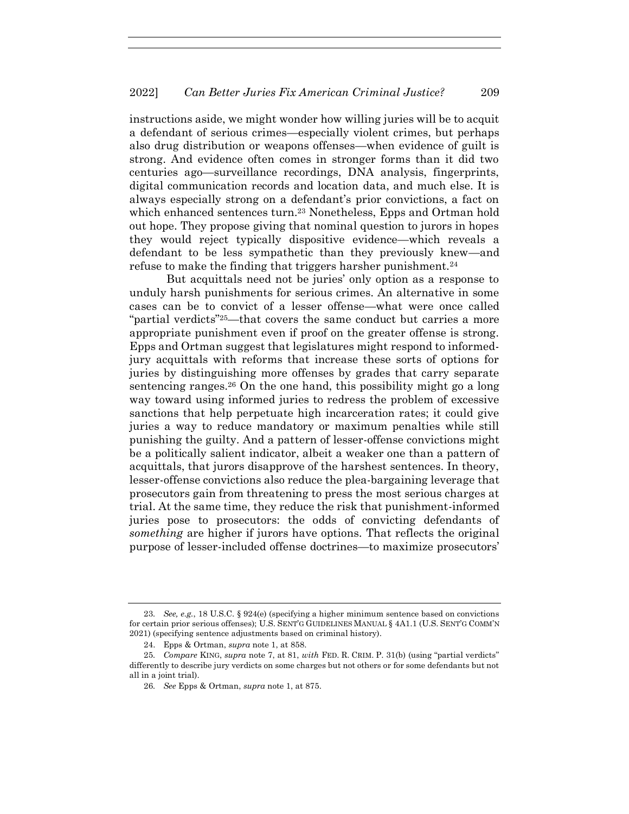instructions aside, we might wonder how willing juries will be to acquit a defendant of serious crimes—especially violent crimes, but perhaps also drug distribution or weapons offenses—when evidence of guilt is strong. And evidence often comes in stronger forms than it did two centuries ago—surveillance recordings, DNA analysis, fingerprints, digital communication records and location data, and much else. It is always especially strong on a defendant's prior convictions, a fact on which enhanced sentences turn.<sup>23</sup> Nonetheless, Epps and Ortman hold out hope. They propose giving that nominal question to jurors in hopes they would reject typically dispositive evidence—which reveals a defendant to be less sympathetic than they previously knew—and refuse to make the finding that triggers harsher punishment.<sup>24</sup>

But acquittals need not be juries' only option as a response to unduly harsh punishments for serious crimes. An alternative in some cases can be to convict of a lesser offense—what were once called "partial verdicts"25—that covers the same conduct but carries a more appropriate punishment even if proof on the greater offense is strong. Epps and Ortman suggest that legislatures might respond to informedjury acquittals with reforms that increase these sorts of options for juries by distinguishing more offenses by grades that carry separate sentencing ranges.<sup>26</sup> On the one hand, this possibility might go a long way toward using informed juries to redress the problem of excessive sanctions that help perpetuate high incarceration rates; it could give juries a way to reduce mandatory or maximum penalties while still punishing the guilty. And a pattern of lesser-offense convictions might be a politically salient indicator, albeit a weaker one than a pattern of acquittals, that jurors disapprove of the harshest sentences. In theory, lesser-offense convictions also reduce the plea-bargaining leverage that prosecutors gain from threatening to press the most serious charges at trial. At the same time, they reduce the risk that punishment-informed juries pose to prosecutors: the odds of convicting defendants of *something* are higher if jurors have options. That reflects the original purpose of lesser-included offense doctrines—to maximize prosecutors'

<sup>23</sup>*. See, e.g.*, 18 U.S.C. § 924(e) (specifying a higher minimum sentence based on convictions for certain prior serious offenses); U.S. SENT'G GUIDELINES MANUAL § 4A1.1 (U.S. SENT'G COMM'N 2021) (specifying sentence adjustments based on criminal history).

<sup>24.</sup> Epps & Ortman, *supra* note 1, at 858.

<sup>25</sup>*. Compare* KING, *supra* note 7, at 81, *with* FED. R. CRIM. P. 31(b) (using "partial verdicts" differently to describe jury verdicts on some charges but not others or for some defendants but not all in a joint trial).

<sup>26</sup>*. See* Epps & Ortman, *supra* note 1, at 875.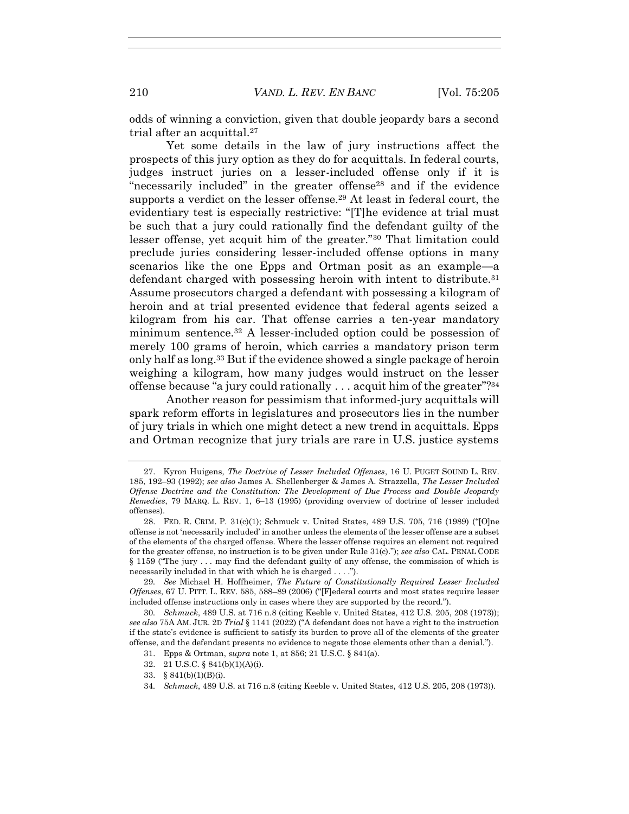odds of winning a conviction, given that double jeopardy bars a second trial after an acquittal.<sup>27</sup>

Yet some details in the law of jury instructions affect the prospects of this jury option as they do for acquittals. In federal courts, judges instruct juries on a lesser-included offense only if it is "necessarily included" in the greater offense<sup>28</sup> and if the evidence supports a verdict on the lesser offense.<sup>29</sup> At least in federal court, the evidentiary test is especially restrictive: "[T]he evidence at trial must be such that a jury could rationally find the defendant guilty of the lesser offense, yet acquit him of the greater."<sup>30</sup> That limitation could preclude juries considering lesser-included offense options in many scenarios like the one Epps and Ortman posit as an example—a defendant charged with possessing heroin with intent to distribute.<sup>31</sup> Assume prosecutors charged a defendant with possessing a kilogram of heroin and at trial presented evidence that federal agents seized a kilogram from his car. That offense carries a ten-year mandatory minimum sentence.<sup>32</sup> A lesser-included option could be possession of merely 100 grams of heroin, which carries a mandatory prison term only half as long.<sup>33</sup> But if the evidence showed a single package of heroin weighing a kilogram, how many judges would instruct on the lesser offense because "a jury could rationally . . . acquit him of the greater"?<sup>34</sup>

Another reason for pessimism that informed-jury acquittals will spark reform efforts in legislatures and prosecutors lies in the number of jury trials in which one might detect a new trend in acquittals. Epps and Ortman recognize that jury trials are rare in U.S. justice systems

- 33. § 841(b)(1)(B)(i).
- 34*. Schmuck*, 489 U.S. at 716 n.8 (citing Keeble v. United States, 412 U.S. 205, 208 (1973)).

<sup>27.</sup> Kyron Huigens, *The Doctrine of Lesser Included Offenses*, 16 U. PUGET SOUND L. REV. 185, 192–93 (1992); *see also* James A. Shellenberger & James A. Strazzella, *The Lesser Included Offense Doctrine and the Constitution: The Development of Due Process and Double Jeopardy Remedies*, 79 MARQ. L. REV. 1, 6–13 (1995) (providing overview of doctrine of lesser included offenses).

<sup>28.</sup> FED. R. CRIM. P. 31(c)(1); Schmuck v. United States, 489 U.S. 705, 716 (1989) ("[O]ne offense is not 'necessarily included' in another unless the elements of the lesser offense are a subset of the elements of the charged offense. Where the lesser offense requires an element not required for the greater offense, no instruction is to be given under Rule 31(c)."); *see also* CAL. PENAL CODE § 1159 ("The jury . . . may find the defendant guilty of any offense, the commission of which is necessarily included in that with which he is charged . . . .").

<sup>29</sup>*. See* Michael H. Hoffheimer, *The Future of Constitutionally Required Lesser Included Offenses*, 67 U. PITT. L. REV. 585, 588–89 (2006) ("[F]ederal courts and most states require lesser included offense instructions only in cases where they are supported by the record.").

<sup>30</sup>*. Schmuck*, 489 U.S. at 716 n.8 (citing Keeble v. United States, 412 U.S. 205, 208 (1973)); *see also* 75A AM. JUR. 2D *Trial* § 1141 (2022) ("A defendant does not have a right to the instruction if the state's evidence is sufficient to satisfy its burden to prove all of the elements of the greater offense, and the defendant presents no evidence to negate those elements other than a denial.").

<sup>31.</sup> Epps & Ortman, *supra* note 1, at 856; 21 U.S.C. § 841(a).

<sup>32.</sup> 21 U.S.C. § 841(b)(1)(A)(i).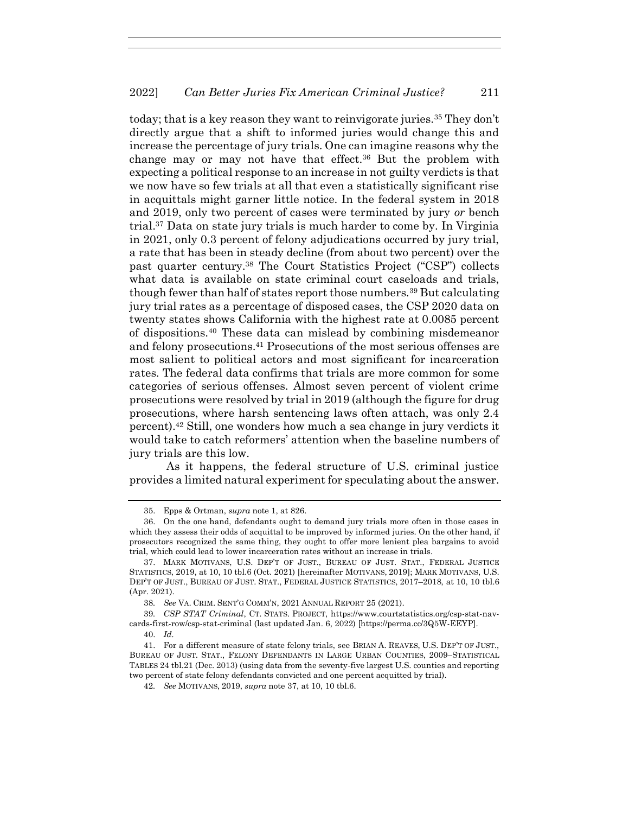today; that is a key reason they want to reinvigorate juries.<sup>35</sup> They don't directly argue that a shift to informed juries would change this and increase the percentage of jury trials. One can imagine reasons why the change may or may not have that effect.<sup>36</sup> But the problem with expecting a political response to an increase in not guilty verdicts is that we now have so few trials at all that even a statistically significant rise in acquittals might garner little notice. In the federal system in 2018 and 2019, only two percent of cases were terminated by jury *or* bench trial.<sup>37</sup> Data on state jury trials is much harder to come by. In Virginia in 2021, only 0.3 percent of felony adjudications occurred by jury trial, a rate that has been in steady decline (from about two percent) over the past quarter century.<sup>38</sup> The Court Statistics Project ("CSP") collects what data is available on state criminal court caseloads and trials, though fewer than half of states report those numbers.<sup>39</sup> But calculating jury trial rates as a percentage of disposed cases, the CSP 2020 data on twenty states shows California with the highest rate at 0.0085 percent of dispositions.<sup>40</sup> These data can mislead by combining misdemeanor and felony prosecutions.<sup>41</sup> Prosecutions of the most serious offenses are most salient to political actors and most significant for incarceration rates. The federal data confirms that trials are more common for some categories of serious offenses. Almost seven percent of violent crime prosecutions were resolved by trial in 2019 (although the figure for drug prosecutions, where harsh sentencing laws often attach, was only 2.4 percent).<sup>42</sup> Still, one wonders how much a sea change in jury verdicts it would take to catch reformers' attention when the baseline numbers of jury trials are this low.

As it happens, the federal structure of U.S. criminal justice provides a limited natural experiment for speculating about the answer.

<sup>35.</sup> Epps & Ortman, *supra* note 1, at 826.

<sup>36.</sup> On the one hand, defendants ought to demand jury trials more often in those cases in which they assess their odds of acquittal to be improved by informed juries. On the other hand, if prosecutors recognized the same thing, they ought to offer more lenient plea bargains to avoid trial, which could lead to lower incarceration rates without an increase in trials.

<sup>37.</sup> MARK MOTIVANS, U.S. DEP'T OF JUST., BUREAU OF JUST. STAT., FEDERAL JUSTICE STATISTICS, 2019, at 10, 10 tbl.6 (Oct. 2021) [hereinafter MOTIVANS, 2019]; MARK MOTIVANS, U.S. DEP'T OF JUST., BUREAU OF JUST. STAT., FEDERAL JUSTICE STATISTICS, 2017–2018, at 10, 10 tbl.6 (Apr. 2021).

<sup>38</sup>*. See* VA. CRIM. SENT'G COMM'N, 2021 ANNUAL REPORT 25 (2021).

<sup>39</sup>*. CSP STAT Criminal*, CT. STATS. PROJECT, https://www.courtstatistics.org/csp-stat-navcards-first-row/csp-stat-criminal (last updated Jan. 6, 2022) [https://perma.cc/3Q5W-EEYP].

<sup>40.</sup> *Id.*

<sup>41.</sup> For a different measure of state felony trials, see BRIAN A. REAVES, U.S. DEP'T OF JUST., BUREAU OF JUST. STAT., FELONY DEFENDANTS IN LARGE URBAN COUNTIES, 2009–STATISTICAL TABLES 24 tbl.21 (Dec. 2013) (using data from the seventy-five largest U.S. counties and reporting two percent of state felony defendants convicted and one percent acquitted by trial).

<sup>42</sup>*. See* MOTIVANS, 2019, *supra* note 37, at 10, 10 tbl.6.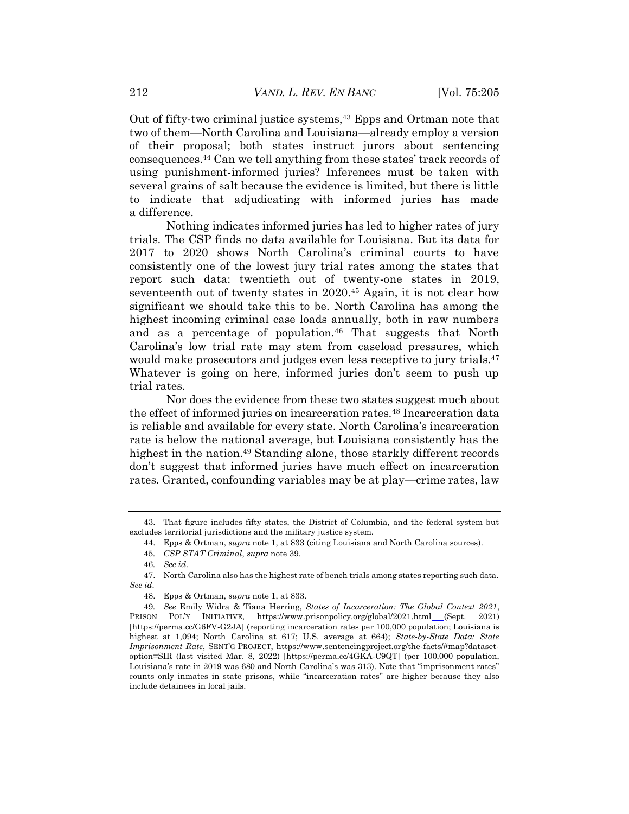Out of fifty-two criminal justice systems,<sup>43</sup> Epps and Ortman note that two of them—North Carolina and Louisiana—already employ a version of their proposal; both states instruct jurors about sentencing consequences.<sup>44</sup> Can we tell anything from these states' track records of using punishment-informed juries? Inferences must be taken with several grains of salt because the evidence is limited, but there is little to indicate that adjudicating with informed juries has made a difference.

Nothing indicates informed juries has led to higher rates of jury trials. The CSP finds no data available for Louisiana. But its data for 2017 to 2020 shows North Carolina's criminal courts to have consistently one of the lowest jury trial rates among the states that report such data: twentieth out of twenty-one states in 2019, seventeenth out of twenty states in 2020.<sup>45</sup> Again, it is not clear how significant we should take this to be. North Carolina has among the highest incoming criminal case loads annually, both in raw numbers and as a percentage of population.<sup>46</sup> That suggests that North Carolina's low trial rate may stem from caseload pressures, which would make prosecutors and judges even less receptive to jury trials.<sup>47</sup> Whatever is going on here, informed juries don't seem to push up trial rates.

Nor does the evidence from these two states suggest much about the effect of informed juries on incarceration rates.<sup>48</sup> Incarceration data is reliable and available for every state. North Carolina's incarceration rate is below the national average, but Louisiana consistently has the highest in the nation.<sup>49</sup> Standing alone, those starkly different records don't suggest that informed juries have much effect on incarceration rates. Granted, confounding variables may be at play—crime rates, law

- 45*. CSP STAT Criminal*, *supra* note 39.
- 46*. See id.*

<sup>43.</sup> That figure includes fifty states, the District of Columbia, and the federal system but excludes territorial jurisdictions and the military justice system.

<sup>44.</sup> Epps & Ortman, *supra* note 1, at 833 (citing Louisiana and North Carolina sources).

<sup>47.</sup> North Carolina also has the highest rate of bench trials among states reporting such data. *See id.*

<sup>48.</sup> Epps & Ortman, *supra* note 1, at 833.

<sup>49</sup>*. See* Emily Widra & Tiana Herring, *States of Incarceration: The Global Context 2021*, PRISON POL'Y INITIATIVE, https://www.prisonpolicy.org/global/2021.html\_(Sept. 2021) [https://perma.cc/G6FV-G2JA] (reporting incarceration rates per 100,000 population; Louisiana is highest at 1,094; North Carolina at 617; U.S. average at 664); *State-by-State Data: State Imprisonment Rate*, SENT'G PROJECT, https://www.sentencingproject.org/the-facts/#map?datasetoption=SIR (last visited Mar. 8, 2022) [https://perma.cc/4GKA-C9QT] (per 100,000 population, Louisiana's rate in 2019 was 680 and North Carolina's was 313). Note that "imprisonment rates" counts only inmates in state prisons, while "incarceration rates" are higher because they also include detainees in local jails.